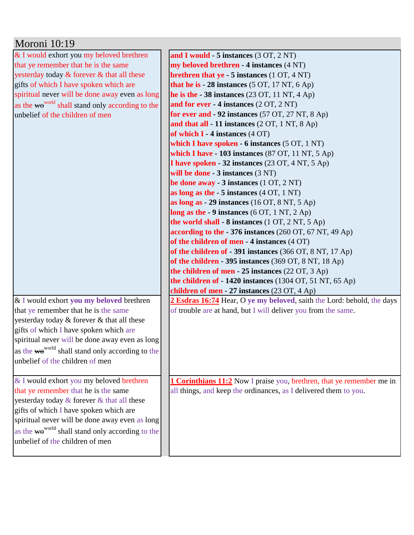| Moroni 10:19                                                 |                                                                              |
|--------------------------------------------------------------|------------------------------------------------------------------------------|
| & I would exhort you my beloved brethren                     | and I would $-5$ instances $(3 OT, 2 NT)$                                    |
| that ye remember that he is the same                         | my beloved brethren - 4 instances (4 NT)                                     |
| yesterday today & forever & that all these                   | <b>brethren that ye</b> $-5$ instances $(1 OT, 4 NT)$                        |
| gifts of which I have spoken which are                       | that he is $-28$ instances (5 OT, 17 NT, 6 Ap)                               |
| spiritual never will be done away even as long               | he is the $-38$ instances (23 OT, 11 NT, 4 Ap)                               |
| as the wo <sup>world</sup> shall stand only according to the | and for ever - 4 instances (2 OT, 2 NT)                                      |
| unbelief of the children of men                              | for ever and $-92$ instances (57 OT, 27 NT, 8 Ap)                            |
|                                                              | and that all $-11$ instances (2 OT, 1 NT, 8 Ap)                              |
|                                                              | of which $I - 4$ instances $(4 \text{ OT})$                                  |
|                                                              | which I have spoken - 6 instances (5 OT, 1 NT)                               |
|                                                              | which I have - 103 instances (87 OT, 11 NT, 5 Ap)                            |
|                                                              | I have spoken - 32 instances (23 OT, 4 NT, 5 Ap)                             |
|                                                              | will be done - 3 instances (3 NT)                                            |
|                                                              | be done away - 3 instances (1 OT, 2 NT)                                      |
|                                                              | as long as the $-5$ instances $(4 OT, 1 NT)$                                 |
|                                                              | as long as $-29$ instances (16 OT, 8 NT, 5 Ap)                               |
|                                                              | long as the $-9$ instances (6 OT, 1 NT, 2 Ap)                                |
|                                                              | the world shall - 8 instances (1 OT, 2 NT, 5 Ap)                             |
|                                                              | according to the - 376 instances (260 OT, 67 NT, 49 Ap)                      |
|                                                              | of the children of men - 4 instances (4 OT)                                  |
|                                                              | of the children of - 391 instances (366 OT, 8 NT, 17 Ap)                     |
|                                                              | of the children - 395 instances (369 OT, 8 NT, 18 Ap)                        |
|                                                              | the children of men - 25 instances (22 OT, 3 Ap)                             |
|                                                              | the children of - 1420 instances (1304 OT, 51 NT, 65 Ap)                     |
|                                                              | children of men - 27 instances (23 OT, 4 Ap)                                 |
| & I would exhort you my beloved brethren                     | 2 Esdras 16:74 Hear, O ye my beloved, saith the Lord: behold, the days       |
| that ye remember that he is the same                         | of trouble are at hand, but I will deliver you from the same.                |
| yesterday today & forever & that all these                   |                                                                              |
| gifts of which I have spoken which are                       |                                                                              |
| spiritual never will be done away even as long               |                                                                              |
| as the wo <sup>world</sup> shall stand only according to the |                                                                              |
| unbelief of the children of men                              |                                                                              |
|                                                              |                                                                              |
| & I would exhort you my beloved brethren                     | <b>1 Corinthians 11:2</b> Now I praise you, brethren, that ye remember me in |
| that ye remember that he is the same                         | all things, and keep the ordinances, as I delivered them to you.             |
| yesterday today & forever & that all these                   |                                                                              |
| gifts of which I have spoken which are                       |                                                                              |
| spiritual never will be done away even as long               |                                                                              |
| as the wo <sup>world</sup> shall stand only according to the |                                                                              |
| unbelief of the children of men                              |                                                                              |
|                                                              |                                                                              |
|                                                              |                                                                              |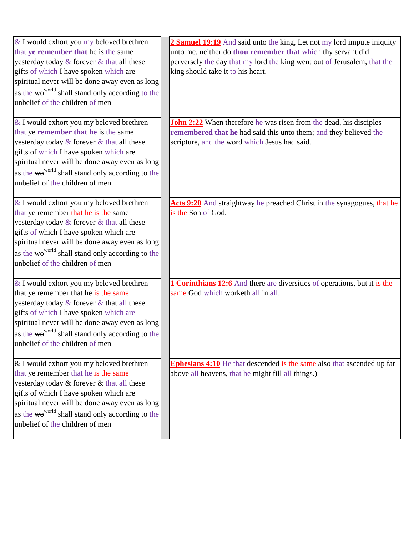| & I would exhort you my beloved brethren<br>that ye remember that he is the same     | 2 Samuel 19:19 And said unto the king, Let not my lord impute iniquity<br>unto me, neither do thou remember that which thy servant did |
|--------------------------------------------------------------------------------------|----------------------------------------------------------------------------------------------------------------------------------------|
| yesterday today & forever & that all these<br>gifts of which I have spoken which are | perversely the day that my lord the king went out of Jerusalem, that the<br>king should take it to his heart.                          |
| spiritual never will be done away even as long                                       |                                                                                                                                        |
| as the wo <sup>world</sup> shall stand only according to the                         |                                                                                                                                        |
| unbelief of the children of men                                                      |                                                                                                                                        |
|                                                                                      |                                                                                                                                        |
| & I would exhort you my beloved brethren                                             | John 2:22 When therefore he was risen from the dead, his disciples                                                                     |
| that ye remember that he is the same                                                 | remembered that he had said this unto them; and they believed the                                                                      |
| yesterday today & forever & that all these                                           | scripture, and the word which Jesus had said.                                                                                          |
| gifts of which I have spoken which are                                               |                                                                                                                                        |
| spiritual never will be done away even as long                                       |                                                                                                                                        |
| as the wo <sup>world</sup> shall stand only according to the                         |                                                                                                                                        |
| unbelief of the children of men                                                      |                                                                                                                                        |
|                                                                                      |                                                                                                                                        |
| & I would exhort you my beloved brethren<br>that ye remember that he is the same     | Acts 9:20 And straightway he preached Christ in the synagogues, that he<br>is the Son of God.                                          |
| yesterday today & forever & that all these                                           |                                                                                                                                        |
| gifts of which I have spoken which are                                               |                                                                                                                                        |
| spiritual never will be done away even as long                                       |                                                                                                                                        |
| as the wo <sup>world</sup> shall stand only according to the                         |                                                                                                                                        |
| unbelief of the children of men                                                      |                                                                                                                                        |
|                                                                                      |                                                                                                                                        |
| & I would exhort you my beloved brethren                                             | <b>1 Corinthians 12:6</b> And there are diversities of operations, but it is the                                                       |
| that ye remember that he is the same                                                 | same God which worketh all in all.                                                                                                     |
| yesterday today $\&$ forever $\&$ that all these                                     |                                                                                                                                        |
| gifts of which I have spoken which are                                               |                                                                                                                                        |
| spiritual never will be done away even as long                                       |                                                                                                                                        |
| as the wo <sup>world</sup> shall stand only according to the                         |                                                                                                                                        |
| unbelief of the children of men                                                      |                                                                                                                                        |
| & I would exhort you my beloved brethren                                             | <b>Ephesians 4:10</b> He that descended is the same also that ascended up far                                                          |
| that ye remember that he is the same                                                 | above all heavens, that he might fill all things.)                                                                                     |
| yesterday today & forever & that all these                                           |                                                                                                                                        |
| gifts of which I have spoken which are                                               |                                                                                                                                        |
| spiritual never will be done away even as long                                       |                                                                                                                                        |
| as the wo <sup>world</sup> shall stand only according to the                         |                                                                                                                                        |
| unbelief of the children of men                                                      |                                                                                                                                        |
|                                                                                      |                                                                                                                                        |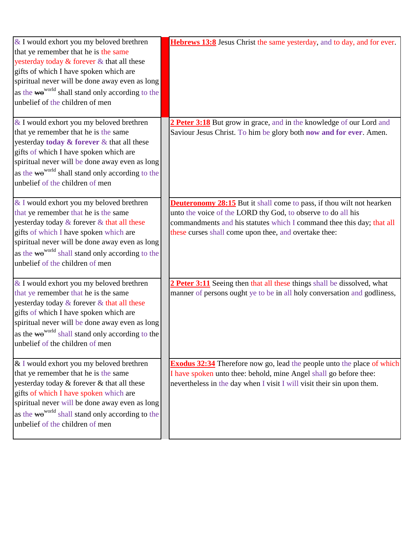| & I would exhort you my beloved brethren<br>that ye remember that he is the same<br>yesterday today & forever & that all these<br>gifts of which I have spoken which are<br>spiritual never will be done away even as long<br>as the wo <sup>world</sup> shall stand only according to the<br>unbelief of the children of men | Hebrews 13:8 Jesus Christ the same yesterday, and to day, and for ever.                                                                                                                                                                                                        |
|-------------------------------------------------------------------------------------------------------------------------------------------------------------------------------------------------------------------------------------------------------------------------------------------------------------------------------|--------------------------------------------------------------------------------------------------------------------------------------------------------------------------------------------------------------------------------------------------------------------------------|
| & I would exhort you my beloved brethren<br>that ye remember that he is the same<br>yesterday today & forever & that all these<br>gifts of which I have spoken which are<br>spiritual never will be done away even as long<br>as the wo <sup>world</sup> shall stand only according to the<br>unbelief of the children of men | 2 Peter 3:18 But grow in grace, and in the knowledge of our Lord and<br>Saviour Jesus Christ. To him be glory both now and for ever. Amen.                                                                                                                                     |
| & I would exhort you my beloved brethren<br>that ye remember that he is the same<br>yesterday today & forever & that all these<br>gifts of which I have spoken which are<br>spiritual never will be done away even as long<br>as the wo <sup>world</sup> shall stand only according to the<br>unbelief of the children of men | <b>Deuteronomy 28:15</b> But it shall come to pass, if thou wilt not hearken<br>unto the voice of the LORD thy God, to observe to do all his<br>commandments and his statutes which I command thee this day; that all<br>these curses shall come upon thee, and overtake thee: |
| & I would exhort you my beloved brethren<br>that ye remember that he is the same<br>yesterday today & forever & that all these<br>gifts of which I have spoken which are<br>spiritual never will be done away even as long<br>as the wo <sup>world</sup> shall stand only according to the<br>unbelief of the children of men | 2 Peter 3:11 Seeing then that all these things shall be dissolved, what<br>manner of persons ought ye to be in all holy conversation and godliness,                                                                                                                            |
| & I would exhort you my beloved brethren<br>that ye remember that he is the same<br>yesterday today & forever & that all these<br>gifts of which I have spoken which are<br>spiritual never will be done away even as long<br>as the wo <sup>world</sup> shall stand only according to the<br>unbelief of the children of men | <b>Exodus 32:34</b> Therefore now go, lead the people unto the place of which<br>I have spoken unto thee: behold, mine Angel shall go before thee:<br>nevertheless in the day when I visit I will visit their sin upon them.                                                   |